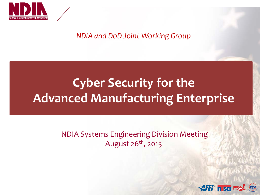

#### *NDIA and DoD Joint Working Group*

# **Cyber Security for the Advanced Manufacturing Enterprise**

#### NDIA Systems Engineering Division Meeting August 26th, 2015

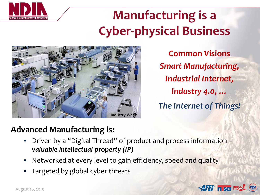

# **Manufacturing is a Cyber-physical Business**



**Common Visions** *Smart Manufacturing, Industrial Internet, Industry 4.0, … The Internet of Things!*

## **Advanced Manufacturing is:**

- Driven by a "Digital Thread" of product and process information *valuable intellectual property (IP)*
- Networked at every level to gain efficiency, speed and quality
- Targeted by global cyber threats

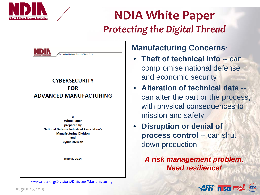

# **NDIA White Paper** *Protecting the Digital Thread*



**ADVANCED MANUFACTURING** 

**White Paper** prepared by **National Defense Industrial Association's Manufacturing Division** and **Cyber Division** 

May 5, 2014

[www.ndia.org/Divisions/Divisions/Manufacturing](http://www.ndia.org/Divisions/Divisions/Manufacturing/Pages/default.aspx)

### **Manufacturing Concerns:**

- **Theft of technical info** -- can compromise national defense and economic security
- **Alteration of technical data**  can alter the part or the process, with physical consequences to mission and safety
- **Disruption or denial of process control** -- can shut down production

*A risk management problem. Need resilience!* 

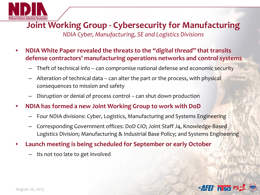

### **Joint Working Group - Cybersecurity for Manufacturing** *NDIA Cyber, Manufacturing, SE and Logistics Divisions*

- **NDIA White Paper revealed the threats to the "***digital thread"* **that transits defense contractors' manufacturing operations networks and control systems**
	- Theft of technical info -- can compromise national defense and economic security
	- Alteration of technical data -- can alter the part or the process, with physical consequences to mission and safety
	- Disruption or denial of process control -- can shut down production
- **NDIA has formed a new Joint Working Group to work with DoD**
	- Four NDIA divisions: Cyber, Logistics, Manufacturing and Systems Engineering
	- Corresponding Government offices: DoD CIO; Joint Staff J4, Knowledge-Based Logistics Division; Manufacturing & Industrial Base Policy; and Systems Engineering
- **Launch meeting is being scheduled for September or early October**
	- Its not too late to get involved